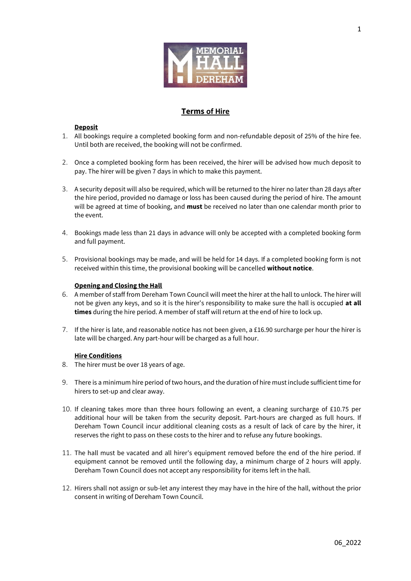

# **Terms of Hire**

# **Deposit**

- 1. All bookings require a completed booking form and non-refundable deposit of 25% of the hire fee. Until both are received, the booking will not be confirmed.
- 2. Once a completed booking form has been received, the hirer will be advised how much deposit to pay. The hirer will be given 7 days in which to make this payment.
- 3. A security deposit will also be required, which will be returned to the hirer no later than 28 days after the hire period, provided no damage or loss has been caused during the period of hire. The amount will be agreed at time of booking, and **must** be received no later than one calendar month prior to the event.
- 4. Bookings made less than 21 days in advance will only be accepted with a completed booking form and full payment.
- 5. Provisional bookings may be made, and will be held for 14 days. If a completed booking form is not received within this time, the provisional booking will be cancelled **without notice**.

### **Opening and Closing the Hall**

- 6. A member of staff from Dereham Town Council will meet the hirer at the hall to unlock. The hirer will not be given any keys, and so it is the hirer's responsibility to make sure the hall is occupied **at all times** during the hire period. A member of staff will return at the end of hire to lock up.
- 7. If the hirer is late, and reasonable notice has not been given, a £16.90 surcharge per hour the hirer is late will be charged. Any part-hour will be charged as a full hour.

### **Hire Conditions**

- 8. The hirer must be over 18 years of age.
- 9. There is a minimum hire period of two hours, and the duration of hire must include sufficient time for hirers to set-up and clear away.
- 10. If cleaning takes more than three hours following an event, a cleaning surcharge of £10.75 per additional hour will be taken from the security deposit. Part-hours are charged as full hours. If Dereham Town Council incur additional cleaning costs as a result of lack of care by the hirer, it reserves the right to pass on these costs to the hirer and to refuse any future bookings.
- 11. The hall must be vacated and all hirer's equipment removed before the end of the hire period. If equipment cannot be removed until the following day, a minimum charge of 2 hours will apply. Dereham Town Council does not accept any responsibility for items left in the hall.
- 12. Hirers shall not assign or sub-let any interest they may have in the hire of the hall, without the prior consent in writing of Dereham Town Council.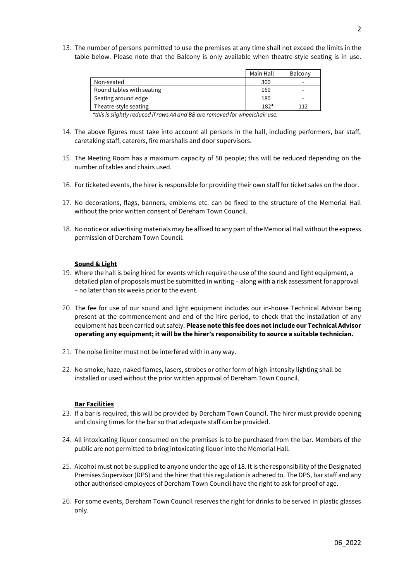13. The number of persons permitted to use the premises at any time shall not exceed the limits in the table below. Please note that the Balcony is only available when theatre-style seating is in use.

|                           | Main Hall | Balcony                  |
|---------------------------|-----------|--------------------------|
| Non-seated                | 300       | $\overline{\phantom{0}}$ |
| Round tables with seating | 160       | -                        |
| Seating around edge       | 180       | -                        |
| Theatre-style seating     | $182*$    | 112                      |

 *\*this is slightly reduced if rows AA and BB are removed for wheelchair use.*

- 14. The above figures must take into account all persons in the hall, including performers, bar staff, caretaking staff, caterers, fire marshalls and door supervisors.
- 15. The Meeting Room has a maximum capacity of 50 people; this will be reduced depending on the number of tables and chairs used.
- 16. For ticketed events, the hirer is responsible for providing their own staff for ticket sales on the door.
- 17. No decorations, flags, banners, emblems etc. can be fixed to the structure of the Memorial Hall without the prior written consent of Dereham Town Council.
- 18. No notice or advertising materials may be affixed to any part of the Memorial Hall without the express permission of Dereham Town Council.

#### **Sound & Light**

- 19. Where the hall is being hired for events which require the use of the sound and light equipment, a detailed plan of proposals must be submitted in writing – along with a risk assessment for approval – no later than six weeks prior to the event.
- 20. The fee for use of our sound and light equipment includes our in-house Technical Advisor being present at the commencement and end of the hire period, to check that the installation of any equipment has been carried out safely. **Please note this fee does not include our Technical Advisor operating any equipment; it will be the hirer's responsibility to source a suitable technician.**
- 21. The noise limiter must not be interfered with in any way.
- 22. No smoke, haze, naked flames, lasers, strobes or other form of high-intensity lighting shall be installed or used without the prior written approval of Dereham Town Council.

#### **Bar Facilities**

- 23. If a bar is required, this will be provided by Dereham Town Council. The hirer must provide opening and closing times for the bar so that adequate staff can be provided.
- 24. All intoxicating liquor consumed on the premises is to be purchased from the bar. Members of the public are not permitted to bring intoxicating liquor into the Memorial Hall.
- 25. Alcohol must not be supplied to anyone under the age of 18. It is the responsibility of the Designated Premises Supervisor (DPS) and the hirer that this regulation is adhered to. The DPS, bar staff and any other authorised employees of Dereham Town Council have the right to ask for proof of age.
- 26. For some events, Dereham Town Council reserves the right for drinks to be served in plastic glasses only.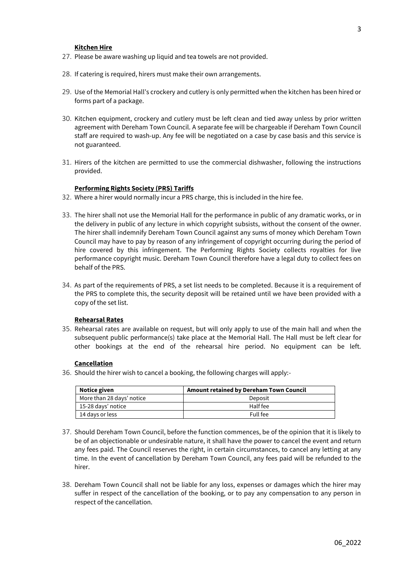#### **Kitchen Hire**

- 27. Please be aware washing up liquid and tea towels are not provided.
- 28. If catering is required, hirers must make their own arrangements.
- 29. Use of the Memorial Hall's crockery and cutlery is only permitted when the kitchen has been hired or forms part of a package.
- 30. Kitchen equipment, crockery and cutlery must be left clean and tied away unless by prior written agreement with Dereham Town Council. A separate fee will be chargeable if Dereham Town Council staff are required to wash-up. Any fee will be negotiated on a case by case basis and this service is not guaranteed.
- 31. Hirers of the kitchen are permitted to use the commercial dishwasher, following the instructions provided.

#### **Performing Rights Society (PRS) Tariffs**

- 32. Where a hirer would normally incur a PRS charge, this is included in the hire fee.
- 33. The hirer shall not use the Memorial Hall for the performance in public of any dramatic works, or in the delivery in public of any lecture in which copyright subsists, without the consent of the owner. The hirer shall indemnify Dereham Town Council against any sums of money which Dereham Town Council may have to pay by reason of any infringement of copyright occurring during the period of hire covered by this infringement. The Performing Rights Society collects royalties for live performance copyright music. Dereham Town Council therefore have a legal duty to collect fees on behalf of the PRS.
- 34. As part of the requirements of PRS, a set list needs to be completed. Because it is a requirement of the PRS to complete this, the security deposit will be retained until we have been provided with a copy of the set list.

### **Rehearsal Rates**

35. Rehearsal rates are available on request, but will only apply to use of the main hall and when the subsequent public performance(s) take place at the Memorial Hall. The Hall must be left clear for other bookings at the end of the rehearsal hire period. No equipment can be left.

#### **Cancellation**

36. Should the hirer wish to cancel a booking, the following charges will apply:-

| Notice given              | Amount retained by Dereham Town Council |
|---------------------------|-----------------------------------------|
| More than 28 days' notice | Deposit                                 |
| 15-28 days' notice        | Half fee                                |
| 14 days or less           | Full fee                                |

- 37. Should Dereham Town Council, before the function commences, be of the opinion that it is likely to be of an objectionable or undesirable nature, it shall have the power to cancel the event and return any fees paid. The Council reserves the right, in certain circumstances, to cancel any letting at any time. In the event of cancellation by Dereham Town Council, any fees paid will be refunded to the hirer.
- 38. Dereham Town Council shall not be liable for any loss, expenses or damages which the hirer may suffer in respect of the cancellation of the booking, or to pay any compensation to any person in respect of the cancellation.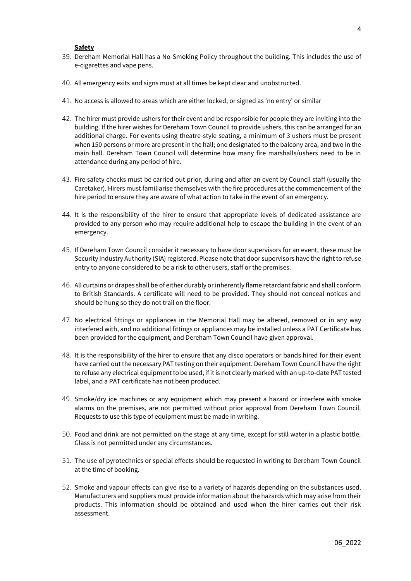#### **Safety**

- 39. Dereham Memorial Hall has a No-Smoking Policy throughout the building. This includes the use of e-cigarettes and vape pens.
- 40. All emergency exits and signs must at all times be kept clear and unobstructed.
- 41. No access is allowed to areas which are either locked, or signed as 'no entry' or similar
- 42. The hirer must provide ushers for their event and be responsible for people they are inviting into the building. If the hirer wishes for Dereham Town Council to provide ushers, this can be arranged for an additional charge. For events using theatre-style seating, a minimum of 3 ushers must be present when 150 persons or more are present in the hall; one designated to the balcony area, and two in the main hall. Dereham Town Council will determine how many fire marshalls/ushers need to be in attendance during any period of hire.
- 43. Fire safety checks must be carried out prior, during and after an event by Council staff (usually the Caretaker). Hirers must familiarise themselves with the fire procedures at the commencement of the hire period to ensure they are aware of what action to take in the event of an emergency.
- 44. It is the responsibility of the hirer to ensure that appropriate levels of dedicated assistance are provided to any person who may require additional help to escape the building in the event of an emergency.
- 45. If Dereham Town Council consider it necessary to have door supervisors for an event, these must be Security Industry Authority (SIA) registered. Please note that door supervisors have the right to refuse entry to anyone considered to be a risk to other users, staff or the premises.
- 46. All curtains or drapes shall be of either durably or inherently flame retardant fabric and shall conform to British Standards. A certificate will need to be provided. They should not conceal notices and should be hung so they do not trail on the floor.
- 47. No electrical fittings or appliances in the Memorial Hall may be altered, removed or in any way interfered with, and no additional fittings or appliances may be installed unless a PAT Certificate has been provided for the equipment, and Dereham Town Council have given approval.
- 48. It is the responsibility of the hirer to ensure that any disco operators or bands hired for their event have carried out the necessary PAT testing on their equipment. Dereham Town Council have the right to refuse any electrical equipment to be used, if it is not clearly marked with an up-to-date PAT tested label, and a PAT certificate has not been produced.
- 49. Smoke/dry ice machines or any equipment which may present a hazard or interfere with smoke alarms on the premises, are not permitted without prior approval from Dereham Town Council. Requests to use this type of equipment must be made in writing.
- 50. Food and drink are not permitted on the stage at any time, except for still water in a plastic bottle. Glass is not permitted under any circumstances.
- 51. The use of pyrotechnics or special effects should be requested in writing to Dereham Town Council at the time of booking.
- 52. Smoke and vapour effects can give rise to a variety of hazards depending on the substances used. Manufacturers and suppliers must provide information about the hazards which may arise from their products. This information should be obtained and used when the hirer carries out their risk assessment.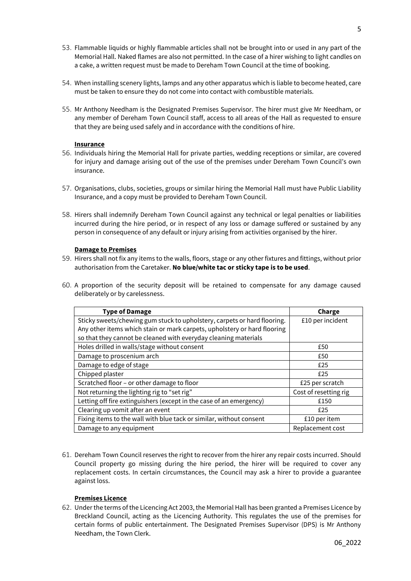- 53. Flammable liquids or highly flammable articles shall not be brought into or used in any part of the Memorial Hall. Naked flames are also not permitted. In the case of a hirer wishing to light candles on a cake, a written request must be made to Dereham Town Council at the time of booking.
- 54. When installing scenery lights, lamps and any other apparatus which is liable to become heated, care must be taken to ensure they do not come into contact with combustible materials.
- 55. Mr Anthony Needham is the Designated Premises Supervisor. The hirer must give Mr Needham, or any member of Dereham Town Council staff, access to all areas of the Hall as requested to ensure that they are being used safely and in accordance with the conditions of hire.

### **Insurance**

- 56. Individuals hiring the Memorial Hall for private parties, wedding receptions or similar, are covered for injury and damage arising out of the use of the premises under Dereham Town Council's own insurance.
- 57. Organisations, clubs, societies, groups or similar hiring the Memorial Hall must have Public Liability Insurance, and a copy must be provided to Dereham Town Council.
- 58. Hirers shall indemnify Dereham Town Council against any technical or legal penalties or liabilities incurred during the hire period, or in respect of any loss or damage suffered or sustained by any person in consequence of any default or injury arising from activities organised by the hirer.

# **Damage to Premises**

- 59. Hirers shall not fix any items to the walls, floors, stage or any other fixtures and fittings, without prior authorisation from the Caretaker. **No blue/white tac or sticky tape is to be used**.
- 60. A proportion of the security deposit will be retained to compensate for any damage caused deliberately or by carelessness.

| <b>Type of Damage</b>                                                    | Charge                |
|--------------------------------------------------------------------------|-----------------------|
| Sticky sweets/chewing gum stuck to upholstery, carpets or hard flooring. | £10 per incident      |
| Any other items which stain or mark carpets, upholstery or hard flooring |                       |
| so that they cannot be cleaned with everyday cleaning materials          |                       |
| Holes drilled in walls/stage without consent                             | £50                   |
| Damage to proscenium arch                                                | £50                   |
| Damage to edge of stage                                                  | £25                   |
| Chipped plaster                                                          | £25                   |
| Scratched floor - or other damage to floor                               | £25 per scratch       |
| Not returning the lighting rig to "set rig"                              | Cost of resetting rig |
| Letting off fire extinguishers (except in the case of an emergency)      | £150                  |
| Clearing up vomit after an event                                         | £25                   |
| Fixing items to the wall with blue tack or similar, without consent      | £10 per item          |
| Damage to any equipment                                                  | Replacement cost      |

61. Dereham Town Council reserves the right to recover from the hirer any repair costs incurred. Should Council property go missing during the hire period, the hirer will be required to cover any replacement costs. In certain circumstances, the Council may ask a hirer to provide a guarantee against loss.

# **Premises Licence**

62. Under the terms of the Licencing Act 2003, the Memorial Hall has been granted a Premises Licence by Breckland Council, acting as the Licencing Authority. This regulates the use of the premises for certain forms of public entertainment. The Designated Premises Supervisor (DPS) is Mr Anthony Needham, the Town Clerk.